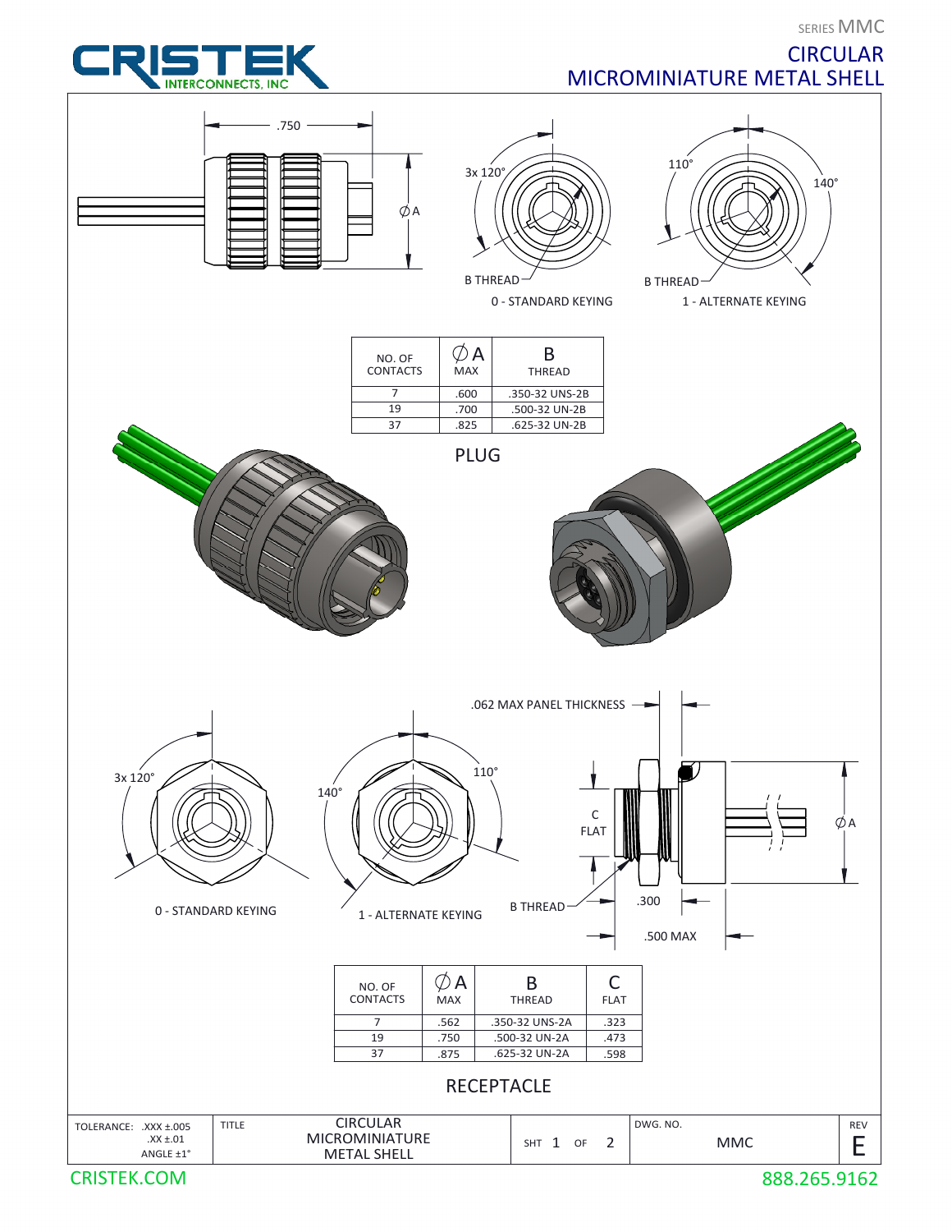SERIES MMC

**CIRCULAR** 

MICROMINIATURE METAL SHELL

## **INTERCONNECTS, INC**



CRISTEK.COM